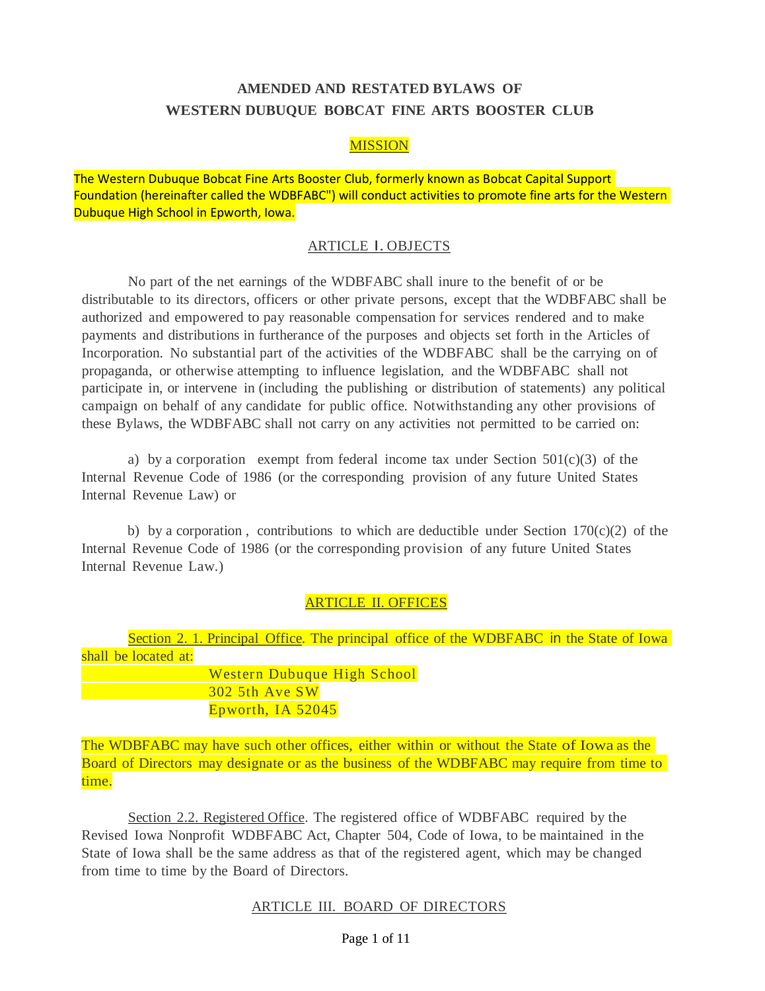# **AMENDED AND RESTATED BYLAWS OF WESTERN DUBUQUE BOBCAT FINE ARTS BOOSTER CLUB**

## MISSION

The Western Dubuque Bobcat Fine Arts Booster Club, formerly known as Bobcat Capital Support Foundation (hereinafter called the WDBFABC") will conduct activities to promote fine arts for the Western Dubuque High School in Epworth, Iowa.

### ARTICLE I. OBJECTS

No part of the net earnings of the WDBFABC shall inure to the benefit of or be distributable to its directors, officers or other private persons, except that the WDBFABC shall be authorized and empowered to pay reasonable compensation for services rendered and to make payments and distributions in furtherance of the purposes and objects set forth in the Articles of Incorporation. No substantial part of the activities of the WDBFABC shall be the carrying on of propaganda, or otherwise attempting to influence legislation, and the WDBFABC shall not participate in, or intervene in (including the publishing or distribution of statements) any political campaign on behalf of any candidate for public office. Notwithstanding any other provisions of these Bylaws, the WDBFABC shall not carry on any activities not permitted to be carried on:

a) by a corporation exempt from federal income tax under Section  $501(c)(3)$  of the Internal Revenue Code of 1986 (or the corresponding provision of any future United States Internal Revenue Law) or

b) by a corporation, contributions to which are deductible under Section 170(c)(2) of the Internal Revenue Code of 1986 (or the corresponding provision of any future United States Internal Revenue Law.)

# ARTICLE II. OFFICES

|                      |                             |  | Section 2. 1. Principal Office. The principal office of the WDBFABC in the State of Iowa |  |
|----------------------|-----------------------------|--|------------------------------------------------------------------------------------------|--|
| shall be located at: |                             |  |                                                                                          |  |
|                      | Western Dubuque High School |  |                                                                                          |  |
|                      | 302 5th Ave SW              |  |                                                                                          |  |
|                      | Epworth, IA 52045           |  |                                                                                          |  |

The WDBFABC may have such other offices, either within or without the State of Iowa as the Board of Directors may designate or as the business of the WDBFABC may require from time to time.

Section 2.2. Registered Office. The registered office of WDBFABC required by the Revised Iowa Nonprofit WDBFABC Act, Chapter 504, Code of Iowa, to be maintained in the State of Iowa shall be the same address as that of the registered agent, which may be changed from time to time by the Board of Directors.

#### ARTICLE III. BOARD OF DIRECTORS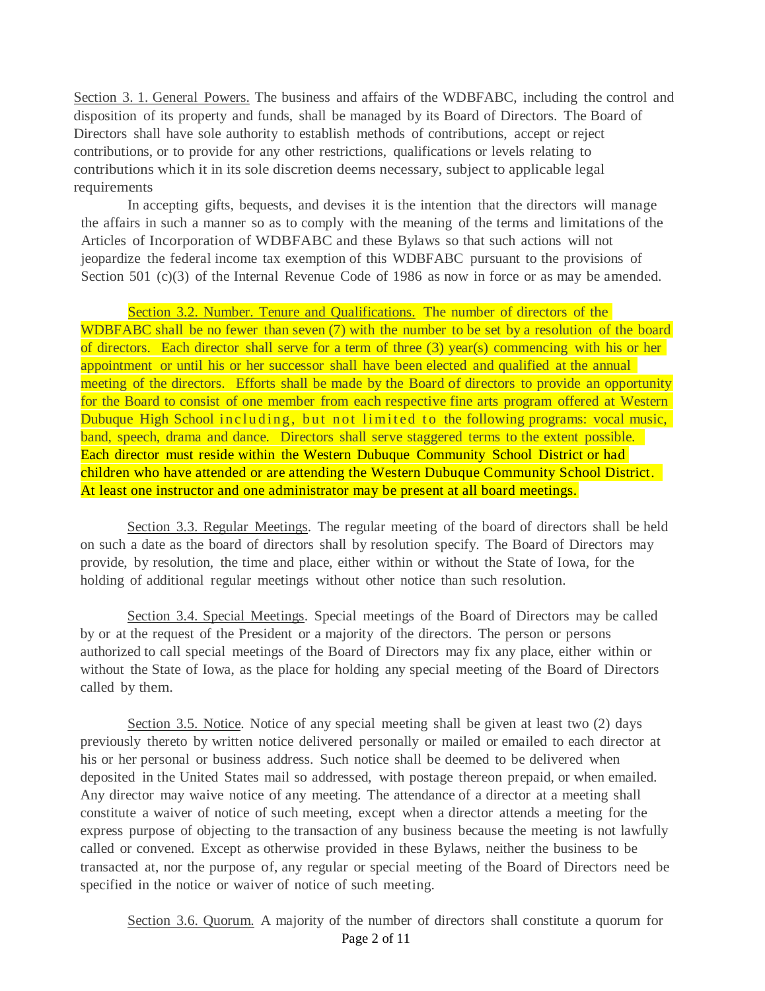Section 3. 1. General Powers. The business and affairs of the WDBFABC, including the control and disposition of its property and funds, shall be managed by its Board of Directors. The Board of Directors shall have sole authority to establish methods of contributions, accept or reject contributions, or to provide for any other restrictions, qualifications or levels relating to contributions which it in its sole discretion deems necessary, subject to applicable legal requirements

In accepting gifts, bequests, and devises it is the intention that the directors will manage the affairs in such a manner so as to comply with the meaning of the terms and limitations of the Articles of Incorporation of WDBFABC and these Bylaws so that such actions will not jeopardize the federal income tax exemption of this WDBFABC pursuant to the provisions of Section 501 (c)(3) of the Internal Revenue Code of 1986 as now in force or as may be amended.

Section 3.2. Number. Tenure and Qualifications. The number of directors of the

WDBFABC shall be no fewer than seven (7) with the number to be set by a resolution of the board of directors. Each director shall serve for a term of three (3) year(s) commencing with his or her appointment or until his or her successor shall have been elected and qualified at the annual meeting of the directors. Efforts shall be made by the Board of directors to provide an opportunity for the Board to consist of one member from each respective fine arts program offered at Western Dubuque High School in cluding, but not limited to the following programs: vocal music, band, speech, drama and dance. Directors shall serve staggered terms to the extent possible. Each director must reside within the Western Dubuque Community School District or had children who have attended or are attending the Western Dubuque Community School District. At least one instructor and one administrator may be present at all board meetings.

Section 3.3. Regular Meetings. The regular meeting of the board of directors shall be held on such a date as the board of directors shall by resolution specify. The Board of Directors may provide, by resolution, the time and place, either within or without the State of Iowa, for the holding of additional regular meetings without other notice than such resolution.

Section 3.4. Special Meetings. Special meetings of the Board of Directors may be called by or at the request of the President or a majority of the directors. The person or persons authorized to call special meetings of the Board of Directors may fix any place, either within or without the State of Iowa, as the place for holding any special meeting of the Board of Directors called by them.

Section 3.5. Notice. Notice of any special meeting shall be given at least two (2) days previously thereto by written notice delivered personally or mailed or emailed to each director at his or her personal or business address. Such notice shall be deemed to be delivered when deposited in the United States mail so addressed, with postage thereon prepaid, or when emailed. Any director may waive notice of any meeting. The attendance of a director at a meeting shall constitute a waiver of notice of such meeting, except when a director attends a meeting for the express purpose of objecting to the transaction of any business because the meeting is not lawfully called or convened. Except as otherwise provided in these Bylaws, neither the business to be transacted at, nor the purpose of, any regular or special meeting of the Board of Directors need be specified in the notice or waiver of notice of such meeting.

Page 2 of 11 Section 3.6. Quorum. A majority of the number of directors shall constitute a quorum for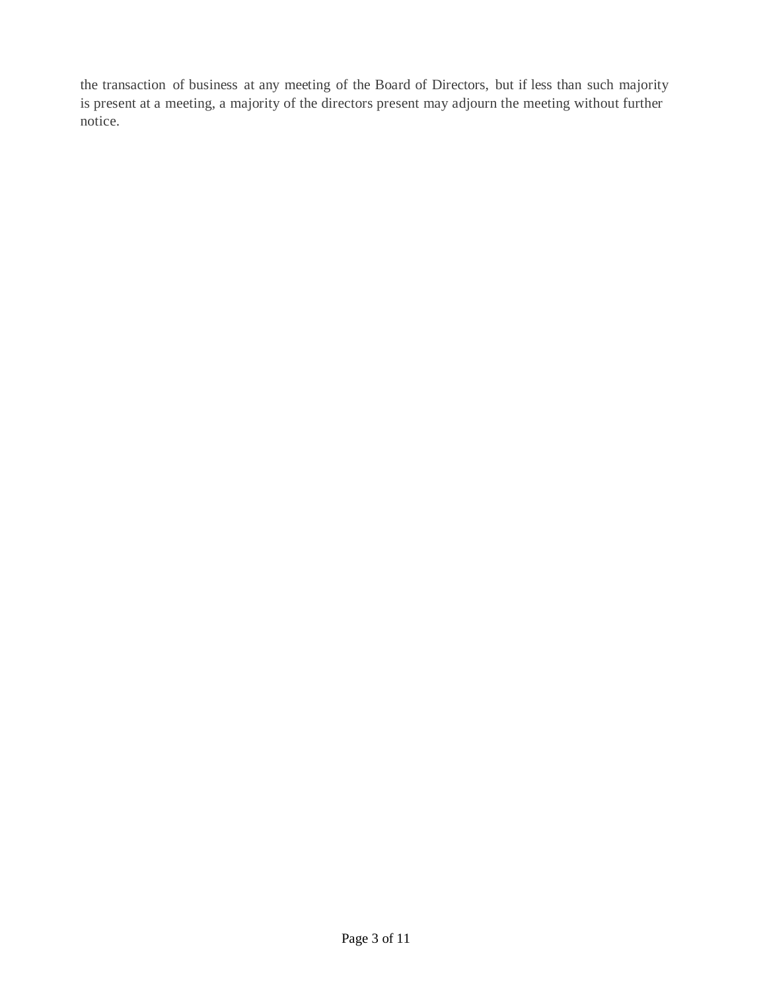the transaction of business at any meeting of the Board of Directors, but if less than such majority is present at a meeting, a majority of the directors present may adjourn the meeting without further notice.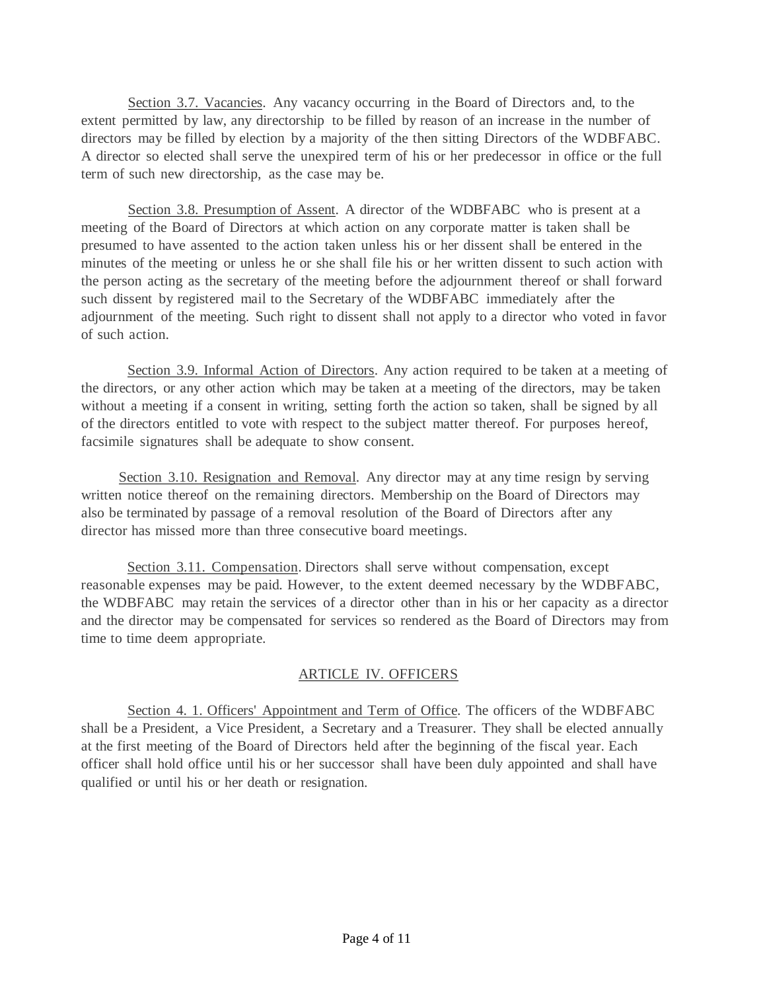Section 3.7. Vacancies. Any vacancy occurring in the Board of Directors and, to the extent permitted by law, any directorship to be filled by reason of an increase in the number of directors may be filled by election by a majority of the then sitting Directors of the WDBFABC. A director so elected shall serve the unexpired term of his or her predecessor in office or the full term of such new directorship, as the case may be.

Section 3.8. Presumption of Assent. A director of the WDBFABC who is present at a meeting of the Board of Directors at which action on any corporate matter is taken shall be presumed to have assented to the action taken unless his or her dissent shall be entered in the minutes of the meeting or unless he or she shall file his or her written dissent to such action with the person acting as the secretary of the meeting before the adjournment thereof or shall forward such dissent by registered mail to the Secretary of the WDBFABC immediately after the adjournment of the meeting. Such right to dissent shall not apply to a director who voted in favor of such action.

Section 3.9. Informal Action of Directors. Any action required to be taken at a meeting of the directors, or any other action which may be taken at a meeting of the directors, may be taken without a meeting if a consent in writing, setting forth the action so taken, shall be signed by all of the directors entitled to vote with respect to the subject matter thereof. For purposes hereof, facsimile signatures shall be adequate to show consent.

Section 3.10. Resignation and Removal. Any director may at any time resign by serving written notice thereof on the remaining directors. Membership on the Board of Directors may also be terminated by passage of a removal resolution of the Board of Directors after any director has missed more than three consecutive board meetings.

Section 3.11. Compensation. Directors shall serve without compensation, except reasonable expenses may be paid. However, to the extent deemed necessary by the WDBFABC, the WDBFABC may retain the services of a director other than in his or her capacity as a director and the director may be compensated for services so rendered as the Board of Directors may from time to time deem appropriate.

### ARTICLE IV. OFFICERS

Section 4. 1. Officers' Appointment and Term of Office. The officers of the WDBFABC shall be a President, a Vice President, a Secretary and a Treasurer. They shall be elected annually at the first meeting of the Board of Directors held after the beginning of the fiscal year. Each officer shall hold office until his or her successor shall have been duly appointed and shall have qualified or until his or her death or resignation.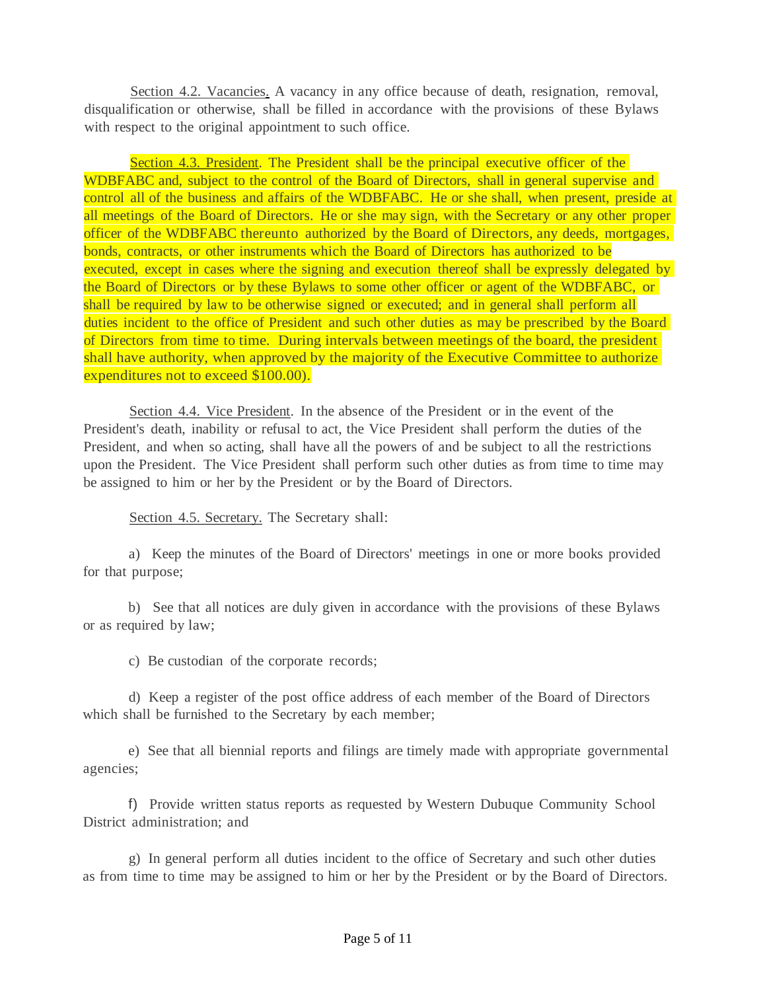Section 4.2. Vacancies. A vacancy in any office because of death, resignation, removal, disqualification or otherwise, shall be filled in accordance with the provisions of these Bylaws with respect to the original appointment to such office.

Section 4.3. President. The President shall be the principal executive officer of the WDBFABC and, subject to the control of the Board of Directors, shall in general supervise and control all of the business and affairs of the WDBFABC. He or she shall, when present, preside at all meetings of the Board of Directors. He or she may sign, with the Secretary or any other proper officer of the WDBFABC thereunto authorized by the Board of Directors, any deeds, mortgages, bonds, contracts, or other instruments which the Board of Directors has authorized to be executed, except in cases where the signing and execution thereof shall be expressly delegated by the Board of Directors or by these Bylaws to some other officer or agent of the WDBFABC, or shall be required by law to be otherwise signed or executed; and in general shall perform all duties incident to the office of President and such other duties as may be prescribed by the Board of Directors from time to time. During intervals between meetings of the board, the president shall have authority, when approved by the majority of the Executive Committee to authorize expenditures not to exceed \$100.00).

Section 4.4. Vice President. In the absence of the President or in the event of the President's death, inability or refusal to act, the Vice President shall perform the duties of the President, and when so acting, shall have all the powers of and be subject to all the restrictions upon the President. The Vice President shall perform such other duties as from time to time may be assigned to him or her by the President or by the Board of Directors.

Section 4.5. Secretary. The Secretary shall:

a) Keep the minutes of the Board of Directors' meetings in one or more books provided for that purpose;

b) See that all notices are duly given in accordance with the provisions of these Bylaws or as required by law;

c) Be custodian of the corporate records;

d) Keep a register of the post office address of each member of the Board of Directors which shall be furnished to the Secretary by each member;

e) See that all biennial reports and filings are timely made with appropriate governmental agencies;

f) Provide written status reports as requested by Western Dubuque Community School District administration; and

g) In general perform all duties incident to the office of Secretary and such other duties as from time to time may be assigned to him or her by the President or by the Board of Directors.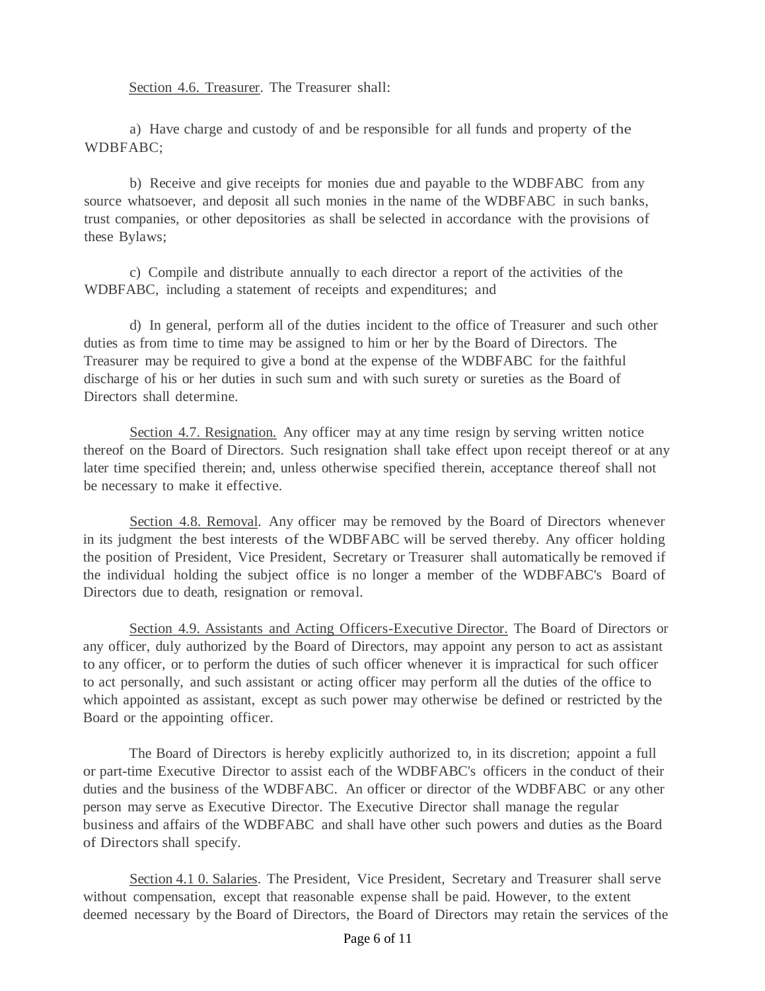Section 4.6. Treasurer. The Treasurer shall:

a) Have charge and custody of and be responsible for all funds and property of the WDBFABC;

b) Receive and give receipts for monies due and payable to the WDBFABC from any source whatsoever, and deposit all such monies in the name of the WDBFABC in such banks, trust companies, or other depositories as shall be selected in accordance with the provisions of these Bylaws;

c) Compile and distribute annually to each director a report of the activities of the WDBFABC, including a statement of receipts and expenditures; and

d) In general, perform all of the duties incident to the office of Treasurer and such other duties as from time to time may be assigned to him or her by the Board of Directors. The Treasurer may be required to give a bond at the expense of the WDBFABC for the faithful discharge of his or her duties in such sum and with such surety or sureties as the Board of Directors shall determine.

Section 4.7. Resignation. Any officer may at any time resign by serving written notice thereof on the Board of Directors. Such resignation shall take effect upon receipt thereof or at any later time specified therein; and, unless otherwise specified therein, acceptance thereof shall not be necessary to make it effective.

Section 4.8. Removal. Any officer may be removed by the Board of Directors whenever in its judgment the best interests of the WDBFABC will be served thereby. Any officer holding the position of President, Vice President, Secretary or Treasurer shall automatically be removed if the individual holding the subject office is no longer a member of the WDBFABC's Board of Directors due to death, resignation or removal.

Section 4.9. Assistants and Acting Officers-Executive Director. The Board of Directors or any officer, duly authorized by the Board of Directors, may appoint any person to act as assistant to any officer, or to perform the duties of such officer whenever it is impractical for such officer to act personally, and such assistant or acting officer may perform all the duties of the office to which appointed as assistant, except as such power may otherwise be defined or restricted by the Board or the appointing officer.

The Board of Directors is hereby explicitly authorized to, in its discretion; appoint a full or part-time Executive Director to assist each of the WDBFABC's officers in the conduct of their duties and the business of the WDBFABC. An officer or director of the WDBFABC or any other person may serve as Executive Director. The Executive Director shall manage the regular business and affairs of the WDBFABC and shall have other such powers and duties as the Board of Directors shall specify.

Section 4.1 0. Salaries. The President, Vice President, Secretary and Treasurer shall serve without compensation, except that reasonable expense shall be paid. However, to the extent deemed necessary by the Board of Directors, the Board of Directors may retain the services of the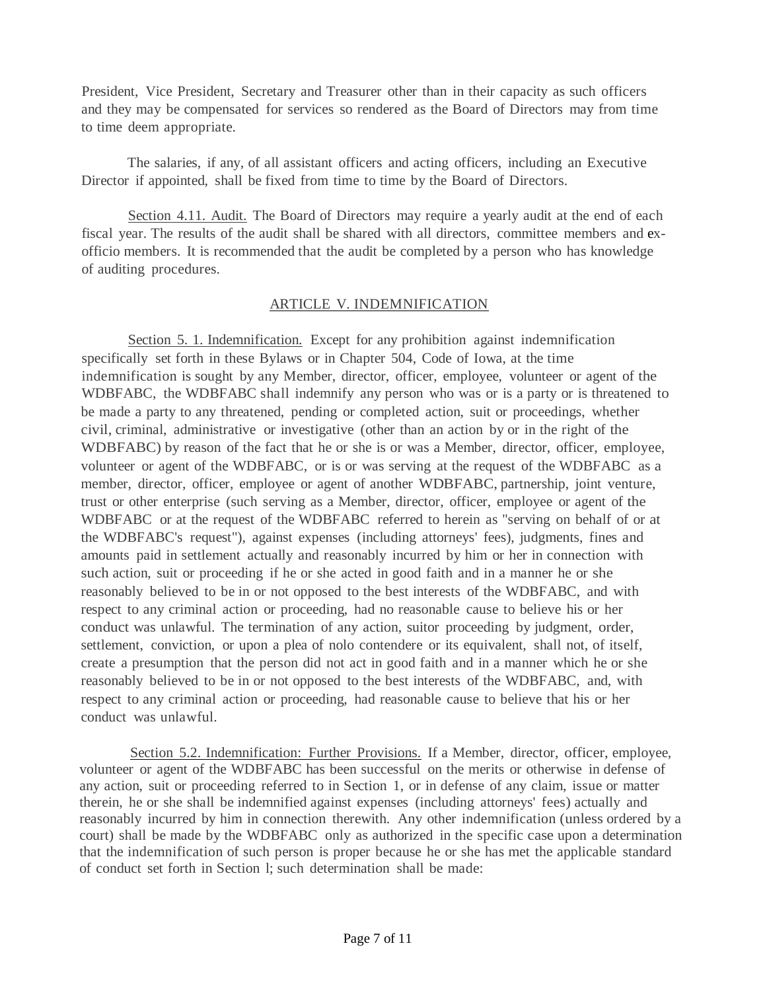President, Vice President, Secretary and Treasurer other than in their capacity as such officers and they may be compensated for services so rendered as the Board of Directors may from time to time deem appropriate.

The salaries, if any, of all assistant officers and acting officers, including an Executive Director if appointed, shall be fixed from time to time by the Board of Directors.

Section 4.11. Audit. The Board of Directors may require a yearly audit at the end of each fiscal year. The results of the audit shall be shared with all directors, committee members and exofficio members. It is recommended that the audit be completed by a person who has knowledge of auditing procedures.

#### ARTICLE V. INDEMNIFICATION

Section 5. 1. Indemnification. Except for any prohibition against indemnification specifically set forth in these Bylaws or in Chapter 504, Code of Iowa, at the time indemnification is sought by any Member, director, officer, employee, volunteer or agent of the WDBFABC, the WDBFABC shall indemnify any person who was or is a party or is threatened to be made a party to any threatened, pending or completed action, suit or proceedings, whether civil, criminal, administrative or investigative (other than an action by or in the right of the WDBFABC) by reason of the fact that he or she is or was a Member, director, officer, employee, volunteer or agent of the WDBFABC, or is or was serving at the request of the WDBFABC as a member, director, officer, employee or agent of another WDBFABC, partnership, joint venture, trust or other enterprise (such serving as a Member, director, officer, employee or agent of the WDBFABC or at the request of the WDBFABC referred to herein as "serving on behalf of or at the WDBFABC's request"), against expenses (including attorneys' fees), judgments, fines and amounts paid in settlement actually and reasonably incurred by him or her in connection with such action, suit or proceeding if he or she acted in good faith and in a manner he or she reasonably believed to be in or not opposed to the best interests of the WDBFABC, and with respect to any criminal action or proceeding, had no reasonable cause to believe his or her conduct was unlawful. The termination of any action, suitor proceeding by judgment, order, settlement, conviction, or upon a plea of nolo contendere or its equivalent, shall not, of itself, create a presumption that the person did not act in good faith and in a manner which he or she reasonably believed to be in or not opposed to the best interests of the WDBFABC, and, with respect to any criminal action or proceeding, had reasonable cause to believe that his or her conduct was unlawful.

Section 5.2. Indemnification: Further Provisions. If a Member, director, officer, employee, volunteer or agent of the WDBFABC has been successful on the merits or otherwise in defense of any action, suit or proceeding referred to in Section 1, or in defense of any claim, issue or matter therein, he or she shall be indemnified against expenses (including attorneys' fees) actually and reasonably incurred by him in connection therewith. Any other indemnification (unless ordered by a court) shall be made by the WDBFABC only as authorized in the specific case upon a determination that the indemnification of such person is proper because he or she has met the applicable standard of conduct set forth in Section l; such determination shall be made: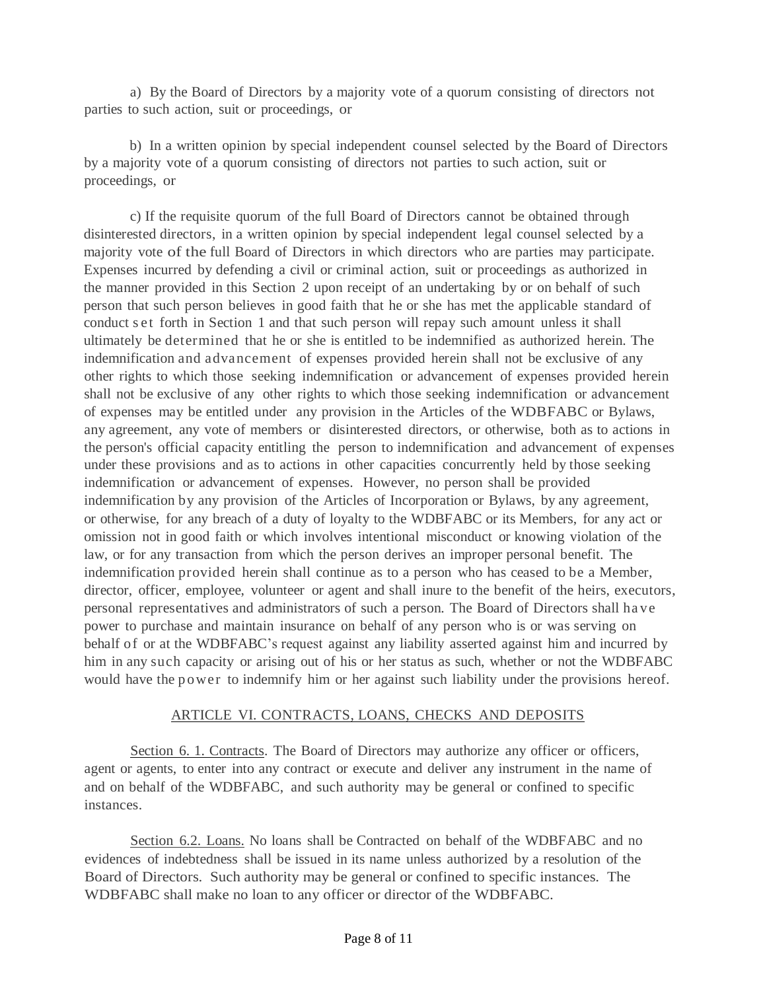a) By the Board of Directors by a majority vote of a quorum consisting of directors not parties to such action, suit or proceedings, or

b) In a written opinion by special independent counsel selected by the Board of Directors by a majority vote of a quorum consisting of directors not parties to such action, suit or proceedings, or

c) If the requisite quorum of the full Board of Directors cannot be obtained through disinterested directors, in a written opinion by special independent legal counsel selected by a majority vote of the full Board of Directors in which directors who are parties may participate. Expenses incurred by defending a civil or criminal action, suit or proceedings as authorized in the manner provided in this Section 2 upon receipt of an undertaking by or on behalf of such person that such person believes in good faith that he or she has met the applicable standard of conduct s et forth in Section 1 and that such person will repay such amount unless it shall ultimately be determined that he or she is entitled to be indemnified as authorized herein. The indemnification and advancement of expenses provided herein shall not be exclusive of any other rights to which those seeking indemnification or advancement of expenses provided herein shall not be exclusive of any other rights to which those seeking indemnification or advancement of expenses may be entitled under any provision in the Articles of the WDBFABC or Bylaws, any agreement, any vote of members or disinterested directors, or otherwise, both as to actions in the person's official capacity entitling the person to indemnification and advancement of expenses under these provisions and as to actions in other capacities concurrently held by those seeking indemnification or advancement of expenses. However, no person shall be provided indemnification by any provision of the Articles of Incorporation or Bylaws, by any agreement, or otherwise, for any breach of a duty of loyalty to the WDBFABC or its Members, for any act or omission not in good faith or which involves intentional misconduct or knowing violation of the law, or for any transaction from which the person derives an improper personal benefit. The indemnification provided herein shall continue as to a person who has ceased to be a Member, director, officer, employee, volunteer or agent and shall inure to the benefit of the heirs, executors, personal representatives and administrators of such a person. The Board of Directors shall ha ve power to purchase and maintain insurance on behalf of any person who is or was serving on behalf of or at the WDBFABC's request against any liability asserted against him and incurred by him in any such capacity or arising out of his or her status as such, whether or not the WDBFABC would have the power to indemnify him or her against such liability under the provisions hereof.

### ARTICLE VI. CONTRACTS, LOANS, CHECKS AND DEPOSITS

Section 6. 1. Contracts. The Board of Directors may authorize any officer or officers, agent or agents, to enter into any contract or execute and deliver any instrument in the name of and on behalf of the WDBFABC, and such authority may be general or confined to specific instances.

Section 6.2. Loans. No loans shall be Contracted on behalf of the WDBFABC and no evidences of indebtedness shall be issued in its name unless authorized by a resolution of the Board of Directors. Such authority may be general or confined to specific instances. The WDBFABC shall make no loan to any officer or director of the WDBFABC.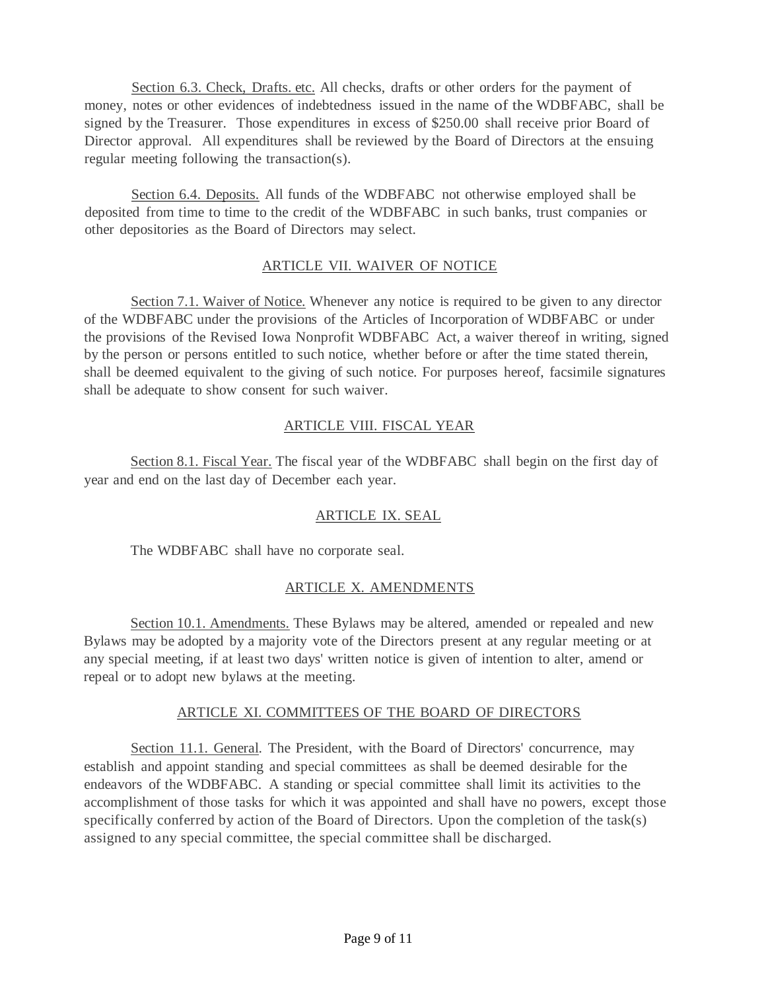Section 6.3. Check, Drafts. etc. All checks, drafts or other orders for the payment of money, notes or other evidences of indebtedness issued in the name of the WDBFABC, shall be signed by the Treasurer. Those expenditures in excess of \$250.00 shall receive prior Board of Director approval. All expenditures shall be reviewed by the Board of Directors at the ensuing regular meeting following the transaction(s).

Section 6.4. Deposits. All funds of the WDBFABC not otherwise employed shall be deposited from time to time to the credit of the WDBFABC in such banks, trust companies or other depositories as the Board of Directors may select.

## ARTICLE VII. WAIVER OF NOTICE

Section 7.1. Waiver of Notice. Whenever any notice is required to be given to any director of the WDBFABC under the provisions of the Articles of Incorporation of WDBFABC or under the provisions of the Revised Iowa Nonprofit WDBFABC Act, a waiver thereof in writing, signed by the person or persons entitled to such notice, whether before or after the time stated therein, shall be deemed equivalent to the giving of such notice. For purposes hereof, facsimile signatures shall be adequate to show consent for such waiver.

# ARTICLE VIII. FISCAL YEAR

Section 8.1. Fiscal Year. The fiscal year of the WDBFABC shall begin on the first day of year and end on the last day of December each year.

# ARTICLE IX. SEAL

The WDBFABC shall have no corporate seal.

# ARTICLE X. AMENDMENTS

Section 10.1. Amendments. These Bylaws may be altered, amended or repealed and new Bylaws may be adopted by a majority vote of the Directors present at any regular meeting or at any special meeting, if at least two days' written notice is given of intention to alter, amend or repeal or to adopt new bylaws at the meeting.

### ARTICLE XI. COMMITTEES OF THE BOARD OF DIRECTORS

Section 11.1. General. The President, with the Board of Directors' concurrence, may establish and appoint standing and special committees as shall be deemed desirable for the endeavors of the WDBFABC. A standing or special committee shall limit its activities to the accomplishment of those tasks for which it was appointed and shall have no powers, except those specifically conferred by action of the Board of Directors. Upon the completion of the task(s) assigned to any special committee, the special committee shall be discharged.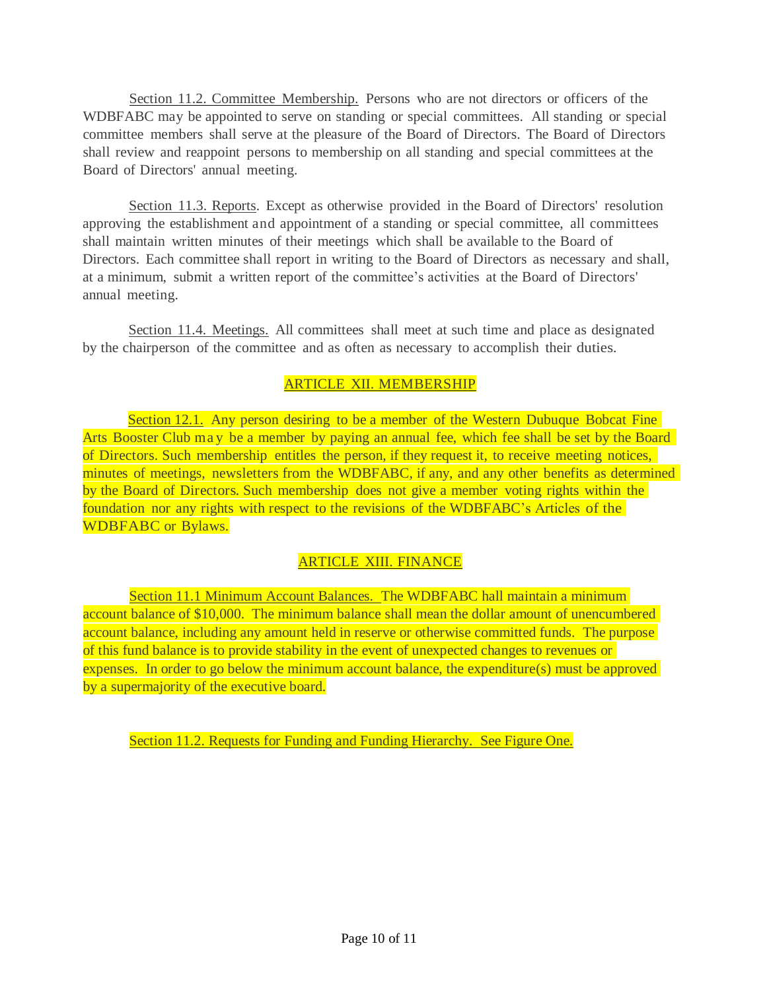Section 11.2. Committee Membership. Persons who are not directors or officers of the WDBFABC may be appointed to serve on standing or special committees. All standing or special committee members shall serve at the pleasure of the Board of Directors. The Board of Directors shall review and reappoint persons to membership on all standing and special committees at the Board of Directors' annual meeting.

Section 11.3. Reports. Except as otherwise provided in the Board of Directors' resolution approving the establishment and appointment of a standing or special committee, all committees shall maintain written minutes of their meetings which shall be available to the Board of Directors. Each committee shall report in writing to the Board of Directors as necessary and shall, at a minimum, submit a written report of the committee's activities at the Board of Directors' annual meeting.

Section 11.4. Meetings. All committees shall meet at such time and place as designated by the chairperson of the committee and as often as necessary to accomplish their duties.

# ARTICLE XII. MEMBERSHIP

Section 12.1. Any person desiring to be a member of the Western Dubuque Bobcat Fine Arts Booster Club may be a member by paying an annual fee, which fee shall be set by the Board of Directors. Such membership entitles the person, if they request it, to receive meeting notices, minutes of meetings, newsletters from the WDBFABC, if any, and any other benefits as determined by the Board of Directors. Such membership does not give a member voting rights within the foundation nor any rights with respect to the revisions of the WDBFABC's Articles of the WDBFABC or Bylaws.

### ARTICLE XIII. FINANCE

Section 11.1 Minimum Account Balances. The WDBFABC hall maintain a minimum account balance of \$10,000. The minimum balance shall mean the dollar amount of unencumbered account balance, including any amount held in reserve or otherwise committed funds. The purpose of this fund balance is to provide stability in the event of unexpected changes to revenues or expenses. In order to go below the minimum account balance, the expenditure(s) must be approved by a supermajority of the executive board.

Section 11.2. Requests for Funding and Funding Hierarchy. See Figure One.